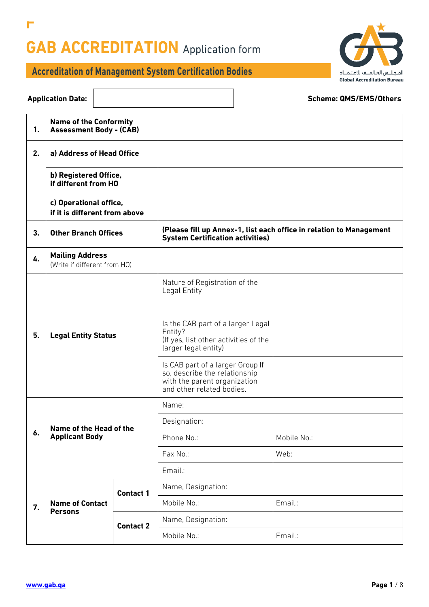

## **Accreditation of Management System Certification Bodies**

 $\Gamma$ 

| <b>Application Date:</b>                                              |                                                                            |                  |                                                                                                                                | <b>Scheme: QMS/EMS/Others</b>                                       |  |
|-----------------------------------------------------------------------|----------------------------------------------------------------------------|------------------|--------------------------------------------------------------------------------------------------------------------------------|---------------------------------------------------------------------|--|
| <b>Name of the Conformity</b><br>1.<br><b>Assessment Body - (CAB)</b> |                                                                            |                  |                                                                                                                                |                                                                     |  |
| 2.                                                                    | a) Address of Head Office<br>b) Registered Office,<br>if different from HO |                  |                                                                                                                                |                                                                     |  |
|                                                                       |                                                                            |                  |                                                                                                                                |                                                                     |  |
|                                                                       | c) Operational office,<br>if it is different from above                    |                  |                                                                                                                                |                                                                     |  |
| 3.                                                                    | <b>Other Branch Offices</b>                                                |                  | <b>System Certification activities)</b>                                                                                        | (Please fill up Annex-1, list each office in relation to Management |  |
| 4.                                                                    | <b>Mailing Address</b><br>(Write if different from HO)                     |                  |                                                                                                                                |                                                                     |  |
| 5.                                                                    | <b>Legal Entity Status</b>                                                 |                  | Nature of Registration of the<br>Legal Entity                                                                                  |                                                                     |  |
|                                                                       |                                                                            |                  | Is the CAB part of a larger Legal<br>Entity?<br>(If yes, list other activities of the<br>larger legal entity)                  |                                                                     |  |
|                                                                       |                                                                            |                  | Is CAB part of a larger Group If<br>so, describe the relationship<br>with the parent organization<br>and other related bodies. |                                                                     |  |
|                                                                       | Name of the Head of the<br><b>Applicant Body</b>                           |                  | Name:                                                                                                                          |                                                                     |  |
|                                                                       |                                                                            |                  | Designation:                                                                                                                   |                                                                     |  |
| 6.                                                                    |                                                                            |                  | Phone No.:                                                                                                                     | Mobile No.:                                                         |  |
|                                                                       |                                                                            |                  | Fax No.:                                                                                                                       | Web:                                                                |  |
|                                                                       |                                                                            |                  | Email.:                                                                                                                        |                                                                     |  |
|                                                                       | <b>Contact 1</b>                                                           |                  | Name, Designation:                                                                                                             |                                                                     |  |
| 7.                                                                    | <b>Name of Contact</b>                                                     |                  | Mobile No.:                                                                                                                    | Email.:                                                             |  |
|                                                                       | <b>Persons</b>                                                             | <b>Contact 2</b> | Name, Designation:                                                                                                             |                                                                     |  |
|                                                                       |                                                                            |                  | Mobile No.:                                                                                                                    | Email.:                                                             |  |

Г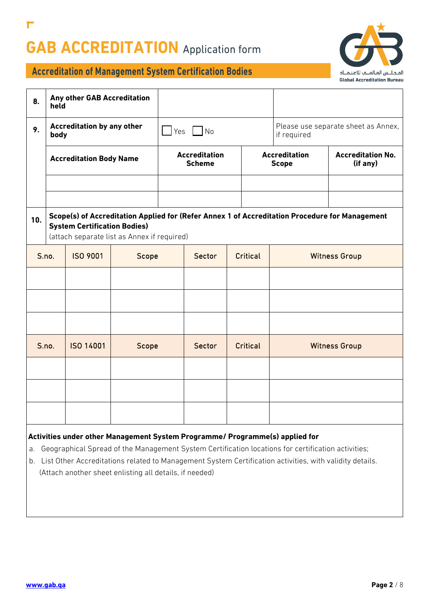

### **Accreditation of Management System Certification Bodies**

| 8.    | held                                      | Any other GAB Accreditation         |                                             |  |                                                    |          |                                      |  |                                                                                                |
|-------|-------------------------------------------|-------------------------------------|---------------------------------------------|--|----------------------------------------------------|----------|--------------------------------------|--|------------------------------------------------------------------------------------------------|
| 9.    | <b>Accreditation by any other</b><br>body |                                     | $Yes$ No                                    |  | Please use separate sheet as Annex,<br>if required |          |                                      |  |                                                                                                |
|       | <b>Accreditation Body Name</b>            |                                     | <b>Accreditation</b><br><b>Scheme</b>       |  | <b>Accreditation</b><br><b>Scope</b>               |          | <b>Accreditation No.</b><br>(if any) |  |                                                                                                |
|       |                                           |                                     |                                             |  |                                                    |          |                                      |  |                                                                                                |
|       |                                           |                                     |                                             |  |                                                    |          |                                      |  |                                                                                                |
| 10.   |                                           | <b>System Certification Bodies)</b> | (attach separate list as Annex if required) |  |                                                    |          |                                      |  | Scope(s) of Accreditation Applied for (Refer Annex 1 of Accreditation Procedure for Management |
| S.no. |                                           | <b>ISO 9001</b>                     | Scope                                       |  | Sector                                             | Critical | <b>Witness Group</b>                 |  |                                                                                                |
|       |                                           |                                     |                                             |  |                                                    |          |                                      |  |                                                                                                |
|       |                                           |                                     |                                             |  |                                                    |          |                                      |  |                                                                                                |
|       |                                           |                                     |                                             |  |                                                    |          |                                      |  |                                                                                                |
|       | S.no.                                     | ISO 14001                           | Scope                                       |  | Sector                                             | Critical |                                      |  | <b>Witness Group</b>                                                                           |
|       |                                           |                                     |                                             |  |                                                    |          |                                      |  |                                                                                                |
|       |                                           |                                     |                                             |  |                                                    |          |                                      |  |                                                                                                |
|       |                                           |                                     |                                             |  |                                                    |          |                                      |  |                                                                                                |

#### **Activities under other Management System Programme/ Programme(s) applied for**

- a. Geographical Spread of the Management System Certification locations for certification activities;
- b. List Other Accreditations related to Management System Certification activities, with validity details. (Attach another sheet enlisting all details, if needed)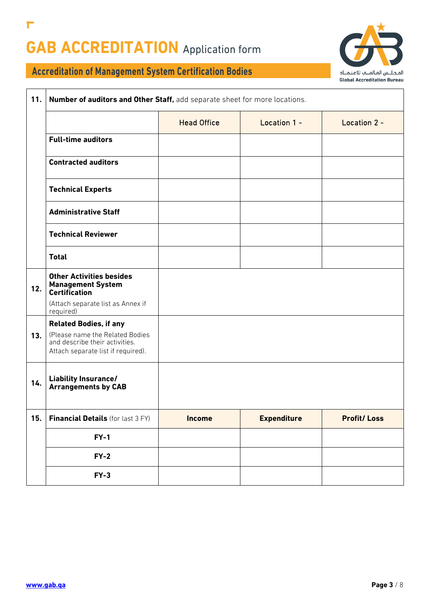Г



| 11. | Number of auditors and Other Staff, add separate sheet for more locations.                              |                    |                    |                    |  |
|-----|---------------------------------------------------------------------------------------------------------|--------------------|--------------------|--------------------|--|
|     |                                                                                                         | <b>Head Office</b> | Location 1 -       | Location 2 -       |  |
|     | <b>Full-time auditors</b>                                                                               |                    |                    |                    |  |
|     | <b>Contracted auditors</b>                                                                              |                    |                    |                    |  |
|     | <b>Technical Experts</b>                                                                                |                    |                    |                    |  |
|     | <b>Administrative Staff</b>                                                                             |                    |                    |                    |  |
|     | <b>Technical Reviewer</b>                                                                               |                    |                    |                    |  |
|     | <b>Total</b>                                                                                            |                    |                    |                    |  |
| 12. | <b>Other Activities besides</b><br><b>Management System</b><br><b>Certification</b>                     |                    |                    |                    |  |
|     | (Attach separate list as Annex if<br>required)                                                          |                    |                    |                    |  |
|     | <b>Related Bodies, if any</b>                                                                           |                    |                    |                    |  |
| 13. | (Please name the Related Bodies<br>and describe their activities.<br>Attach separate list if required). |                    |                    |                    |  |
| 14. | <b>Liability Insurance/</b><br><b>Arrangements by CAB</b>                                               |                    |                    |                    |  |
| 15. | Financial Details (for last 3 FY)                                                                       | <b>Income</b>      | <b>Expenditure</b> | <b>Profit/Loss</b> |  |
|     | $FY-1$                                                                                                  |                    |                    |                    |  |
|     | $FY-2$                                                                                                  |                    |                    |                    |  |
|     | $FY-3$                                                                                                  |                    |                    |                    |  |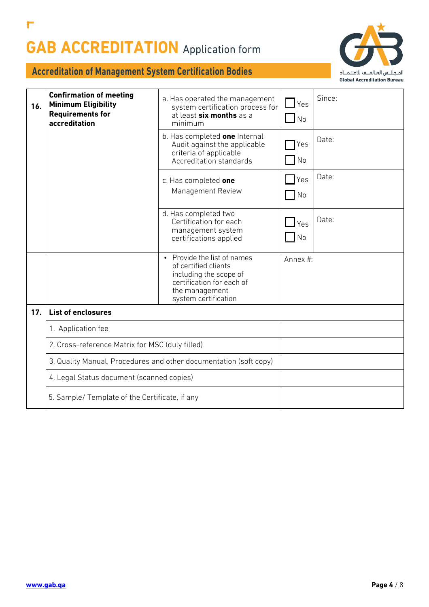

| 16. | <b>Confirmation of meeting</b><br><b>Minimum Eligibility</b><br><b>Requirements for</b><br>accreditation | a. Has operated the management<br>system certification process for<br>at least six months as a<br>minimum                                                       | $\Box$ Yes<br><b>No</b>    | Since: |
|-----|----------------------------------------------------------------------------------------------------------|-----------------------------------------------------------------------------------------------------------------------------------------------------------------|----------------------------|--------|
|     |                                                                                                          | b. Has completed one Internal<br>Audit against the applicable<br>criteria of applicable<br>Accreditation standards                                              | Yes<br>No                  | Date:  |
|     |                                                                                                          | c. Has completed one<br>Management Review                                                                                                                       | Yes<br>No                  | Date:  |
|     |                                                                                                          | d. Has completed two<br>Certification for each<br>management system<br>certifications applied                                                                   | $\mathbf{\perp}$ Yes<br>No | Date:  |
|     |                                                                                                          | Provide the list of names<br>$\bullet$<br>of certified clients<br>including the scope of<br>certification for each of<br>the management<br>system certification | Annex #:                   |        |
| 17. | <b>List of enclosures</b>                                                                                |                                                                                                                                                                 |                            |        |
|     | 1. Application fee                                                                                       |                                                                                                                                                                 |                            |        |
|     |                                                                                                          | 2. Cross-reference Matrix for MSC (duly filled)                                                                                                                 |                            |        |
|     |                                                                                                          | 3. Quality Manual, Procedures and other documentation (soft copy)                                                                                               |                            |        |
|     | 4. Legal Status document (scanned copies)                                                                |                                                                                                                                                                 |                            |        |
|     | 5. Sample/ Template of the Certificate, if any                                                           |                                                                                                                                                                 |                            |        |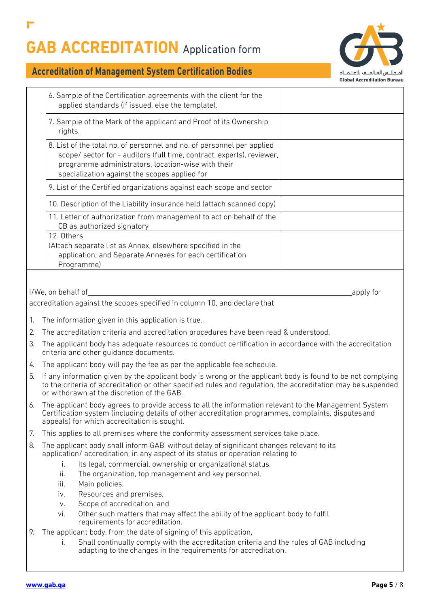Г



|    | 6. Sample of the Certification agreements with the client for the<br>applied standards (if issued, else the template).                                                                                                                                                   |  |  |  |  |  |
|----|--------------------------------------------------------------------------------------------------------------------------------------------------------------------------------------------------------------------------------------------------------------------------|--|--|--|--|--|
|    | 7. Sample of the Mark of the applicant and Proof of its Ownership<br>rights.                                                                                                                                                                                             |  |  |  |  |  |
|    | 8. List of the total no. of personnel and no. of personnel per applied<br>scope/ sector for - auditors (full time, contract, experts), reviewer,<br>programme administrators, location-wise with their<br>specialization against the scopes applied for                  |  |  |  |  |  |
|    | 9. List of the Certified organizations against each scope and sector                                                                                                                                                                                                     |  |  |  |  |  |
|    | 10. Description of the Liability insurance held (attach scanned copy)                                                                                                                                                                                                    |  |  |  |  |  |
|    | 11. Letter of authorization from management to act on behalf of the<br>CB as authorized signatory                                                                                                                                                                        |  |  |  |  |  |
|    | 12. Others<br>(Attach separate list as Annex, elsewhere specified in the<br>application, and Separate Annexes for each certification<br>Programme)                                                                                                                       |  |  |  |  |  |
|    |                                                                                                                                                                                                                                                                          |  |  |  |  |  |
|    | I/We, on behalf of<br>apply for                                                                                                                                                                                                                                          |  |  |  |  |  |
|    | accreditation against the scopes specified in column 10, and declare that                                                                                                                                                                                                |  |  |  |  |  |
| 1. | The information given in this application is true.                                                                                                                                                                                                                       |  |  |  |  |  |
| 2. | The accreditation criteria and accreditation procedures have been read & understood.                                                                                                                                                                                     |  |  |  |  |  |
| 3. | The applicant body has adequate resources to conduct certification in accordance with the accreditation<br>criteria and other guidance documents.                                                                                                                        |  |  |  |  |  |
| 4. | The applicant body will pay the fee as per the applicable fee schedule.                                                                                                                                                                                                  |  |  |  |  |  |
| 5. | If any information given by the applicant body is wrong or the applicant body is found to be not complying<br>to the criteria of accreditation or other specified rules and regulation, the accreditation may be suspended<br>or withdrawn at the discretion of the GAB. |  |  |  |  |  |
|    | 6. The applicant body agrees to provide access to all the information relevant to the Management System<br>Certification system (including details of other accreditation programmes, complaints, disputes and<br>appeals) for which accreditation is sought.            |  |  |  |  |  |
| 7. | This applies to all premises where the conformity assessment services take place.                                                                                                                                                                                        |  |  |  |  |  |
| 8. | The applicant body shall inform GAB, without delay of significant changes relevant to its<br>application/accreditation, in any aspect of its status or operation relating to<br>Its legal, commercial, ownership or organizational status,<br>i.                         |  |  |  |  |  |
|    | ii.<br>The organization, top management and key personnel,<br>Main policies,<br>iii.                                                                                                                                                                                     |  |  |  |  |  |
|    | Resources and premises,<br>iv.                                                                                                                                                                                                                                           |  |  |  |  |  |
|    | Scope of accreditation, and<br>V.                                                                                                                                                                                                                                        |  |  |  |  |  |
|    | Other such matters that may affect the ability of the applicant body to fulfil<br>Vİ.<br>requirements for accreditation.                                                                                                                                                 |  |  |  |  |  |
| 9. | The applicant body, from the date of signing of this application,<br>Shall continually comply with the accreditation criteria and the rules of GAB including<br>İ.                                                                                                       |  |  |  |  |  |
|    | adapting to the changes in the requirements for accreditation.                                                                                                                                                                                                           |  |  |  |  |  |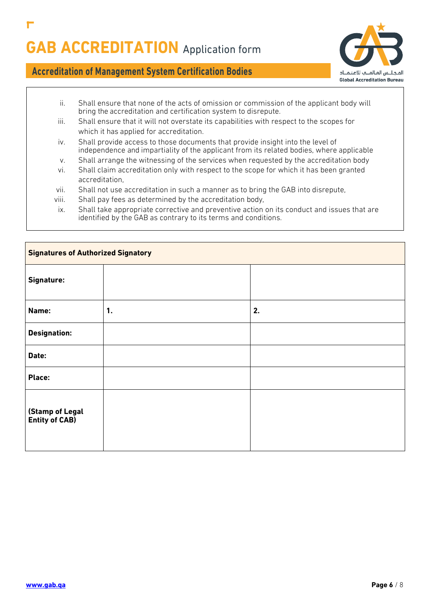

- ii. Shall ensure that none of the acts of omission or commission of the applicant body will bring the accreditation and certification system to disrepute.
- iii. Shall ensure that it will not overstate its capabilities with respect to the scopes for which it has applied for accreditation.
- iv. Shall provide access to those documents that provide insight into the level of independence and impartiality of the applicant from its related bodies, where applicable
- v. Shall arrange the witnessing of the services when requested by the accreditation body
- vi. Shall claim accreditation only with respect to the scope for which it has been granted accreditation,
- vii. Shall not use accreditation in such a manner as to bring the GAB into disrepute,
- viii. Shall pay fees as determined by the accreditation body,
- ix. Shall take appropriate corrective and preventive action on its conduct and issues that are identified by the GAB as contrary to its terms and conditions.

| <b>Signatures of Authorized Signatory</b> |    |    |  |  |  |
|-------------------------------------------|----|----|--|--|--|
| Signature:                                |    |    |  |  |  |
| Name:                                     | 1. | 2. |  |  |  |
| <b>Designation:</b>                       |    |    |  |  |  |
| Date:                                     |    |    |  |  |  |
| Place:                                    |    |    |  |  |  |
| (Stamp of Legal<br><b>Entity of CAB)</b>  |    |    |  |  |  |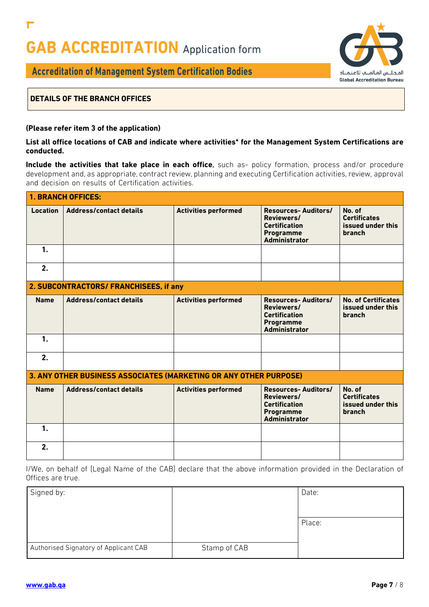

### **Accreditation of Management System Certification Bodies**

#### **DETAILS OF THE BRANCH OFFICES**

г

#### **(Please refer item 3 of the application)**

#### **List all office locations of CAB and indicate where activities\* for the Management System Certifications are conducted.**

**Include the activities that take place in each office**, such as- policy formation, process and/or procedure development and, as appropriate, contract review, planning and executing Certification activities, review, approval and decision on results of Certification activities.

|                 | <b>1. BRANCH OFFICES:</b>                                         |                             |                                                                                                              |                                                              |  |  |  |
|-----------------|-------------------------------------------------------------------|-----------------------------|--------------------------------------------------------------------------------------------------------------|--------------------------------------------------------------|--|--|--|
| <b>Location</b> | <b>Address/contact details</b>                                    | <b>Activities performed</b> | <b>Resources-Auditors/</b><br>Reviewers/<br><b>Certification</b><br><b>Programme</b><br><b>Administrator</b> | No. of<br><b>Certificates</b><br>issued under this<br>branch |  |  |  |
| $\mathbf{1}$ .  |                                                                   |                             |                                                                                                              |                                                              |  |  |  |
| 2.              |                                                                   |                             |                                                                                                              |                                                              |  |  |  |
|                 | 2. SUBCONTRACTORS/ FRANCHISEES, if any                            |                             |                                                                                                              |                                                              |  |  |  |
| <b>Name</b>     | <b>Address/contact details</b>                                    | <b>Activities performed</b> | <b>Resources-Auditors/</b><br>Reviewers/<br><b>Certification</b><br><b>Programme</b><br><b>Administrator</b> | <b>No. of Certificates</b><br>issued under this<br>branch    |  |  |  |
| $\mathbf{1}$ .  |                                                                   |                             |                                                                                                              |                                                              |  |  |  |
| 2.              |                                                                   |                             |                                                                                                              |                                                              |  |  |  |
|                 | 3. ANY OTHER BUSINESS ASSOCIATES (MARKETING OR ANY OTHER PURPOSE) |                             |                                                                                                              |                                                              |  |  |  |
| <b>Name</b>     | <b>Address/contact details</b>                                    | <b>Activities performed</b> | <b>Resources-Auditors/</b><br>Reviewers/<br><b>Certification</b><br><b>Programme</b><br><b>Administrator</b> | No. of<br><b>Certificates</b><br>issued under this<br>branch |  |  |  |
| 1.              |                                                                   |                             |                                                                                                              |                                                              |  |  |  |
| 2.              |                                                                   |                             |                                                                                                              |                                                              |  |  |  |

I/We, on behalf of [Legal Name of the CAB] declare that the above information provided in the Declaration of Offices are true.

| Signed by:                            |              | Date:  |
|---------------------------------------|--------------|--------|
|                                       |              |        |
|                                       |              | Place: |
|                                       |              |        |
| Authorised Signatory of Applicant CAB | Stamp of CAB |        |